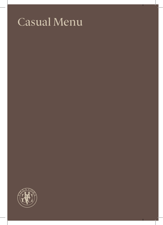## Casual Menu

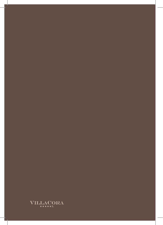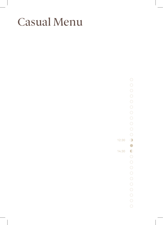## Casual Menu

 $\overline{O}$  $\bigcirc$  $\bigcirc$  $\bigcirc$  $\bigcirc$  $\bigcirc$  $\bigcirc$  $\bigcirc$  $\bigcirc$  $\bigcirc$  $\bigcirc$  $\bullet$  $\bigcirc$  $\bigcirc$  $\bigcirc$  $\bigcirc$  $\bigcirc$  $\bigcirc$  $\circ$  $\bigcirc$  $\bigcirc$  $\bigcirc$  $\circ$ 

 $\bigcirc$ 

12:30

14:30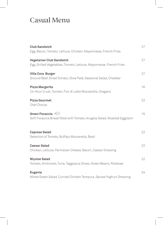## Casual Menu

| <b>Club Sandwich</b><br>Egg, Bacon, Tomato, Lettuce, Chicken, Mayonnaise, French Fries                          | 27 |
|-----------------------------------------------------------------------------------------------------------------|----|
| Vegetarian Club Sandwich<br>Egg, Grilled Vegetables, Tomato, Lettuce, Mayonnaise, French Fries                  | 27 |
| Villa Cora Burger<br>Ground Beef, Dried Tomato, Olive Patè, Seasonal Salad, Cheddar                             | 27 |
| Pizza Margerita<br>24-Hour Crust, Tomato, Fior di Latte Mozzarella, Oregano                                     | 16 |
| <b>Pizza Gourmet</b><br>Chef Choice                                                                             | 22 |
| Green Focaccia $\Longleftrightarrow$<br>Soft Focaccia Bread filled with Tomato, Arugola Salad, Roasted Eggplant | 15 |
| <b>Caprese Salad</b><br>Selection of Tomato, Buffalo Mozzarella, Basil                                          | 22 |
| <b>Caesar Salad</b><br>Chicken, Lettuce, Parmesan Cheese, Bacon, Caesar Dressing                                | 22 |
| Niçoise Salad<br>Tomato, Anchovies, Tuna, Taggiasca Olives, Green Beans, Potatoes                               | 22 |
| Eugenia<br>Mixed Green Salad, Curried Chicken Tempura, Spiced Yoghurt Dressing                                  | 24 |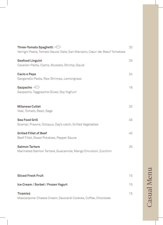| Three-Tomato Spaghetti $\ominus$                                                       | 20 |
|----------------------------------------------------------------------------------------|----|
| Verrigni Pasta, Tomato Sauce: Date, San Marzano, Cœur-de-Bœuf Tomatoes                 |    |
| <b>Seafood Linguini</b><br>Cavalieri Pasta, Clams, Mussels, Shrimp, Squid              | 25 |
| <b>Cacio e Pepe</b><br>Garganello Pasta, Raw Shrimps, Lemongrass                       | 24 |
| Gazpacho $\Longleftrightarrow$<br>Gazpacho, Taggiasche Olives, Soy Yoghurt             | 16 |
| <b>Milanese Cutlet</b><br>Veal, Tomato, Basil, Sage                                    | 32 |
| <b>Sea Food Grill</b><br>Scampi, Prawns, Octopus, Day's catch, Grilled Vegetables      | 45 |
| <b>Grilled Fillet of Beef</b><br>Beef Fillet, Roast Potatoes, Pepper Sauce             | 40 |
| <b>Salmon Tartare</b><br>Marinated Salmon Tartare, Guacamole, Mango Emulsion, Zucchini | 25 |
|                                                                                        |    |
| <b>Sliced Fresh Fruit</b>                                                              | 15 |
| Ice Cream / Sorbet / Frozen Yogurt                                                     | 15 |
| Tiramisù                                                                               | 15 |

Mascarpone-Cheese Cream, Savoiardi Cookies, Coffee, Chocolate

**Casual Menu** Casual Menu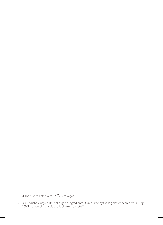N.B.1 The dishes listed with  $\iff$  are vegan.

N.B.2 Our dishes may contain allergenic ingredients. As required by the legislative decree ex EU Reg. n: 1169/11, a complete list is available from our staff.